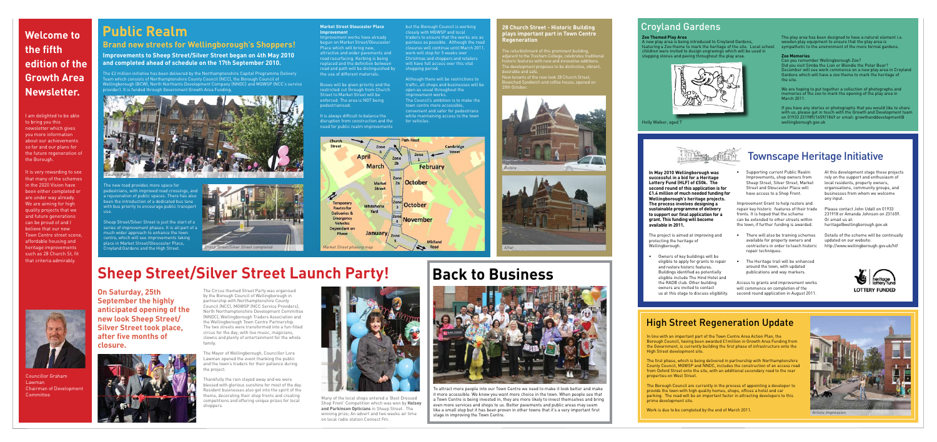such as roads, doctors, dentists and

2 The project is aimed at improving and protecting the heritage of .<br>Wellingborough.



The play area has been designed to have a natural element i.e. wooden play equipment to ensure that the play area is sympathetic to the environment of the more formal gardens.

Example throughout the play area.<br>
The Memories<br>
Can you remember Wellingborough Zoo?<br>
Did you visit Simba the Lion or Blondie the Polar Bear?<br>
December will see work commence on a new play area in Croyland<br>
Gardens which Can you remember Wellingborough Zoo? Did you visit Simba the Lion or Blondie the Polar Bear? December will see work commence on a new play area in Croyland Gardens which will have a zoo theme to mark the heritage of the site.

population with us, please get in touch with the Growth and Development team on 01933 231989/1659/1849 or email: growthanddevelopment@<br>Wellingborough.gov.uk wellington with the Growthanddevelopment@ If you have any stories or photographs that you would like to share with us, please get in touch with the Growth and Development team wellingborough.gov.uk



to transport and community infrastructure.

This page:



Councillor Graham Lawman Chairman of Development **Committee** 



Holly Walker, aged 7

### Croyland Gardens

### **Zoo Themed Play Area**

A new play area is being introduced to Croyland Gardens, featuring a Zoo theme to mark the heritage of the site. Local school children were invited to design engravings which will be used in stepping stones and paving throughout the play area.

#### **Zoo Memories**

We are hoping to put together a collection of photographs and memories of the zoo to mark the opening of the play area in March 2011.

I am delighted to be able to bring you this newsletter which gives you more information about our achievements so far and our plans for the future regeneration of the Borough.

**Improvement works have already** begun on Market Street/Gloucester Place which will bring new, attractive and wider pavements and road resurfacing. Kerbing is being replaced and the definition between road and path will be distinguished by the use of different materials.

It is very rewarding to see that many of the schemes in the 2020 Vision have been either completed or are under way already. We are aiming for high quality projects that we and future generations can be proud of and I believe that our new Town Centre street scene, affordable housing and heritage improvements such as 28 Church St, fit that criteria admirably.

The refurbishment of this prominent building, adjacent to the Tresham College, celebrates traditional historic features with new and innovative additions.<br>The development proposes to be distinctive, vibrant,

### **Welcome to the fifth edition of the Growth Area Newsletter.**

### **Public Realm**

# **Sheep Street/Silver Street Launch Party!**

### **Brand new streets for Wellingborough's Shoppers!**

**Improvements to Sheep Street/Silver Street began on 4th May 2010 and completed ahead of schedule on the 17th September 2010.** 

The £2 million initiative has been delivered by the Northamptonshire Capital Programme Delivery Team which consists of Northamptonshire County Council (NCC), the Borough Council of Wellingborough (BCW), North Northants Development Company (NNDC) and MGWSP (NCC's service provider). It is funded through Government Growth Area Funding.

The new road provides more space for pedestrians, with improved road crossings, and a rejuvenation of public spaces. There has also been the introduction of a dedicated bus lane with bus priority to encourage public transport use.

Sheep Street/Silver Street is just the start of a series of improvement phases. It is all part of a much wider approach to enhance the town centre, which will see improvements taking place in Market Street/Gloucester Place, Croyland Gardens and the High Street.

**On Saturday, 25th September the highly anticipated opening of the new look Sheep Street/ Silver Street took place, after five months of closure.** 



 **second round of this application is for £1.4 million of much needed funding for grant. This funding will become In May 2010 Wellingborough was successful in a bid for a Heritage Lottery Fund (HLF) of £50k. The Wellingborough's heritage projects. The process involves designing a sustainable programme of delivery to support our final application for a available in 2011.** 

 • Owners of key buildings will be Buildings identified as potentially owners are invited to contact eligible to apply for grants to repair and restore historic features. eligible include The Hind Hotel and the RAOB club. Other building us at this stage to discuss eligibility.

The Circus themed Street Party was organised by the Borough Council of Wellingborough in partnership with Northamptonshire County Council (NCC), MGWSP (NCC Service Providers), North Northamptonshire Development Committee (NNDC), Wellingborough Traders Association and the Wellingborough Town Centre Partnership. The two streets were transformed into a fun-filled circus for the day, with live music, magicians, clowns and plenty of entertainment for the whole family.

 • Supporting current Public Realm Street and Gloucester Place will Improvements, shop owners from Sheep Street, Silver Street, Market have access to a Shop Front.

The Mayor of Wellingborough, Councillor Lora Lawman opened the event thanking the public and the town's traders for their patience during the project.

> prime development site. The Borough Council are currently in the process of appointing a developer to provide the town with high quality homes, shops, offices a hotel and car parking. The road will be an important factor in attracting developers to this

> > 2. Iseber 1982 - Paris Barbara, paris Barbara, paris Barbara, paris Barbara, paris Barbara, paris Barbara, par

Work is due to be completed by the end of March 2011.

Thankfully the rain stayed away and we were blessed with glorious sunshine for most of the day. Resident businesses also got into the spirit of the theme, decorating their shop fronts and creating competitions and offering unique prizes for local shoppers.

**Market Street Gloucester Place Improvement** 

Buses will be given priority and the restricted cut through from Church Street to Market Street will be enforced. The area is NOT being pedestrianised.

It is always difficult to balance the disruption from construction and the need for public realm improvements

but the Borough Council is working closely with MGWSP and local traders to ensure that the works are as painless as possible. Although the roa closures will continue until March 2011, work will stop for 5 weeks over Christmas and shoppers and retailers will have full access over this vital shopping period.

Although there will be restrictions to traffic, all shops and businesses will be open as usual throughout the improvement works. The Council's ambition is to make the town centre more accessible, convenient and safer for pedestrians while maintaining access to the town for vehicles.



Artists Impression

**28 Church Street - Historic Building plays important part in Town Centre** 

**Regeneration** 

desirable and safe.

New tenants of the new look 28 Church Street, Bewiched Sandwich and coffee house, opened on

20th October.





Improvement Grant to help restore and repair key historic features of their trade fronts. It is hoped that the scheme can be extended to other streets within the town, if further funding is awarded.

- There will also be training schemes available for property owners and contractors in order to teach historic repair techniques.
- The Heritage trail will be enhanced around the town, with updated publications and way markers.

Access to grants and improvement works will commence on completion of the second round application in August 2011.

At this development stage these projects rely on the support and enthusiasm of local residents, property owners, organisations, community groups, and businesses from whom we welcome any input.

Please contact John Udall on 01933 231918 or Amanda Johnson on 231659. Or email us at: heritage@wellingborough.gov.uk

Details of the scheme will be continually updated on our website: http://www.wellingborough.gov.uk/hlf



### Townscape Heritage Initiative



To attract more people into our Town Centre we need to make it look better and make it more accessible. We know you want more choice in the town. When people see that a Town Centre is being invested in, they are more likely to invest themselves and bring even more services and shops to us. Better pavements and public areas may seem like a small step but it has been proven in other towns that it's a very important first



stage in improving the Town Centre.

### **Back to Business**



Many of the local shops entered a 'Best Dressed Shop Front' Competition which was won by **Halsey and Parkinson Opticians** in Sheep Street. The winning prize; An advert and two weeks air time on local radio station Connect Fm.

### High Street Regeneration Update

In line with an important part of the Town Centre Area Action Plan, the Borough Council, having been awarded £1million in Growth Area Funding from the Government, is currently building the first phase of infrastructure onto the High Street development site.

The first phase, which is being delivered in partnership with Northamptonshire County Council, MGWSP and NNDC, includes the construction of an access road from Oxford Street onto the site, with an additional secondary road to the rear properties on West Street.